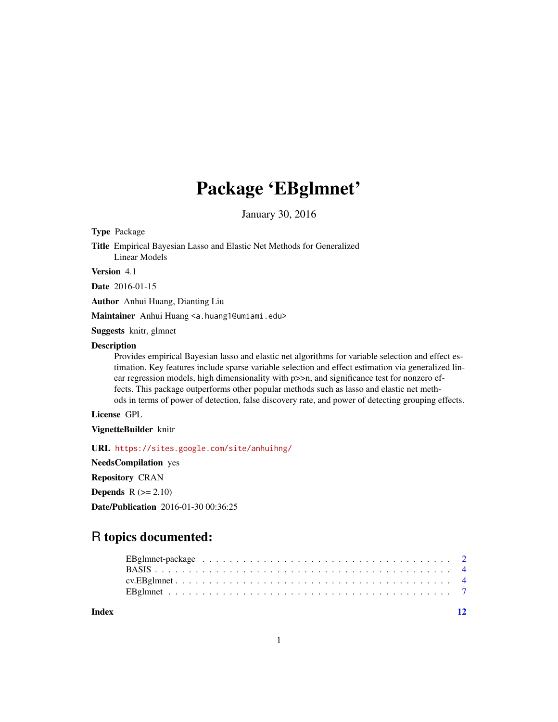# Package 'EBglmnet'

January 30, 2016

Type Package

Title Empirical Bayesian Lasso and Elastic Net Methods for Generalized Linear Models

Version 4.1

Date 2016-01-15

Author Anhui Huang, Dianting Liu

Maintainer Anhui Huang <a.huang1@umiami.edu>

Suggests knitr, glmnet

#### Description

Provides empirical Bayesian lasso and elastic net algorithms for variable selection and effect estimation. Key features include sparse variable selection and effect estimation via generalized linear regression models, high dimensionality with  $p\gg n$ , and significance test for nonzero effects. This package outperforms other popular methods such as lasso and elastic net methods in terms of power of detection, false discovery rate, and power of detecting grouping effects.

#### License GPL

VignetteBuilder knitr

URL <https://sites.google.com/site/anhuihng/>

NeedsCompilation yes

Repository CRAN

**Depends**  $R$  ( $>= 2.10$ )

Date/Publication 2016-01-30 00:36:25

# R topics documented:

**Index** [12](#page-11-0)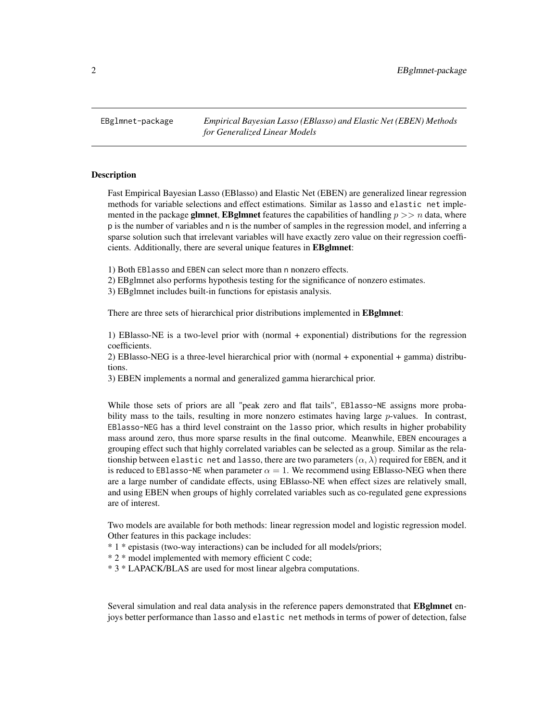<span id="page-1-0"></span>EBglmnet-package *Empirical Bayesian Lasso (EBlasso) and Elastic Net (EBEN) Methods for Generalized Linear Models*

#### **Description**

Fast Empirical Bayesian Lasso (EBlasso) and Elastic Net (EBEN) are generalized linear regression methods for variable selections and effect estimations. Similar as lasso and elastic net implemented in the package **glmnet, EBglmnet** features the capabilities of handling  $p \gg n$  data, where p is the number of variables and n is the number of samples in the regression model, and inferring a sparse solution such that irrelevant variables will have exactly zero value on their regression coefficients. Additionally, there are several unique features in EBglmnet:

1) Both EBlasso and EBEN can select more than n nonzero effects.

2) EBglmnet also performs hypothesis testing for the significance of nonzero estimates.

3) EBglmnet includes built-in functions for epistasis analysis.

There are three sets of hierarchical prior distributions implemented in **EBglmnet**:

1) EBlasso-NE is a two-level prior with (normal + exponential) distributions for the regression coefficients.

2) EBlasso-NEG is a three-level hierarchical prior with (normal + exponential + gamma) distributions.

3) EBEN implements a normal and generalized gamma hierarchical prior.

While those sets of priors are all "peak zero and flat tails", EBlasso-NE assigns more probability mass to the tails, resulting in more nonzero estimates having large  $p$ -values. In contrast, EBlasso-NEG has a third level constraint on the lasso prior, which results in higher probability mass around zero, thus more sparse results in the final outcome. Meanwhile, EBEN encourages a grouping effect such that highly correlated variables can be selected as a group. Similar as the relationship between elastic net and lasso, there are two parameters  $(\alpha, \lambda)$  required for EBEN, and it is reduced to EBlasso-NE when parameter  $\alpha = 1$ . We recommend using EBlasso-NEG when there are a large number of candidate effects, using EBlasso-NE when effect sizes are relatively small, and using EBEN when groups of highly correlated variables such as co-regulated gene expressions are of interest.

Two models are available for both methods: linear regression model and logistic regression model. Other features in this package includes:

\* 1 \* epistasis (two-way interactions) can be included for all models/priors;

\* 2 \* model implemented with memory efficient C code;

\* 3 \* LAPACK/BLAS are used for most linear algebra computations.

Several simulation and real data analysis in the reference papers demonstrated that EBglmnet enjoys better performance than lasso and elastic net methods in terms of power of detection, false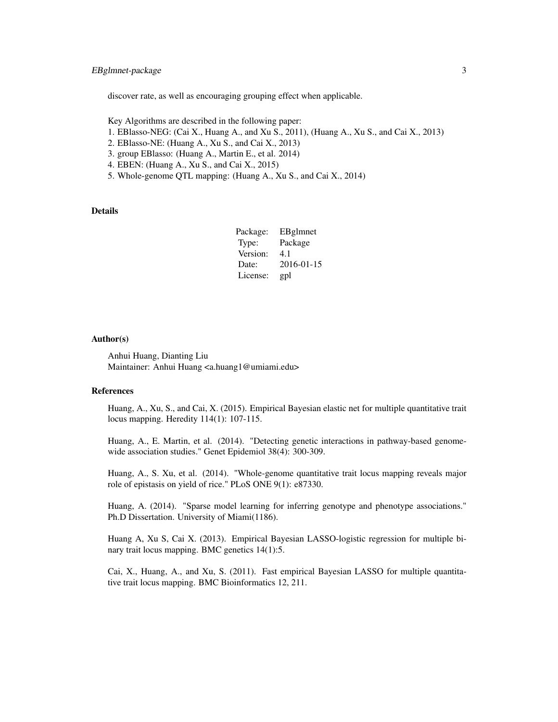#### EBgImnet-package 3

discover rate, as well as encouraging grouping effect when applicable.

- Key Algorithms are described in the following paper:
- 1. EBlasso-NEG: (Cai X., Huang A., and Xu S., 2011), (Huang A., Xu S., and Cai X., 2013)
- 2. EBlasso-NE: (Huang A., Xu S., and Cai X., 2013)
- 3. group EBlasso: (Huang A., Martin E., et al. 2014)
- 4. EBEN: (Huang A., Xu S., and Cai X., 2015)
- 5. Whole-genome QTL mapping: (Huang A., Xu S., and Cai X., 2014)

#### Details

| Package: | EBglmnet   |
|----------|------------|
| Type:    | Package    |
| Version: | 4.1        |
| Date:    | 2016-01-15 |
| License: | gpl        |

#### Author(s)

Anhui Huang, Dianting Liu Maintainer: Anhui Huang <a.huang1@umiami.edu>

#### References

Huang, A., Xu, S., and Cai, X. (2015). Empirical Bayesian elastic net for multiple quantitative trait locus mapping. Heredity 114(1): 107-115.

Huang, A., E. Martin, et al. (2014). "Detecting genetic interactions in pathway-based genomewide association studies." Genet Epidemiol 38(4): 300-309.

Huang, A., S. Xu, et al. (2014). "Whole-genome quantitative trait locus mapping reveals major role of epistasis on yield of rice." PLoS ONE 9(1): e87330.

Huang, A. (2014). "Sparse model learning for inferring genotype and phenotype associations." Ph.D Dissertation. University of Miami(1186).

Huang A, Xu S, Cai X. (2013). Empirical Bayesian LASSO-logistic regression for multiple binary trait locus mapping. BMC genetics 14(1):5.

Cai, X., Huang, A., and Xu, S. (2011). Fast empirical Bayesian LASSO for multiple quantitative trait locus mapping. BMC Bioinformatics 12, 211.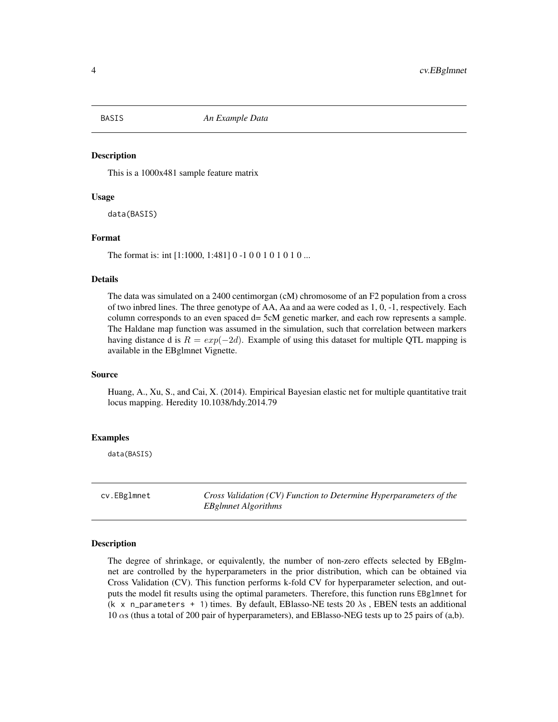<span id="page-3-0"></span>

#### Description

This is a 1000x481 sample feature matrix

#### Usage

data(BASIS)

#### Format

The format is: int [1:1000, 1:481] 0 -1 0 0 1 0 1 0 1 0 ...

#### Details

The data was simulated on a 2400 centimorgan (cM) chromosome of an F2 population from a cross of two inbred lines. The three genotype of AA, Aa and aa were coded as 1, 0, -1, respectively. Each column corresponds to an even spaced d= 5cM genetic marker, and each row represents a sample. The Haldane map function was assumed in the simulation, such that correlation between markers having distance d is  $R = exp(-2d)$ . Example of using this dataset for multiple QTL mapping is available in the EBglmnet Vignette.

#### Source

Huang, A., Xu, S., and Cai, X. (2014). Empirical Bayesian elastic net for multiple quantitative trait locus mapping. Heredity 10.1038/hdy.2014.79

#### Examples

data(BASIS)

cv.EBglmnet *Cross Validation (CV) Function to Determine Hyperparameters of the EBglmnet Algorithms*

#### Description

The degree of shrinkage, or equivalently, the number of non-zero effects selected by EBglmnet are controlled by the hyperparameters in the prior distribution, which can be obtained via Cross Validation (CV). This function performs k-fold CV for hyperparameter selection, and outputs the model fit results using the optimal parameters. Therefore, this function runs EBglmnet for (k x n\_parameters + 1) times. By default, EBlasso-NE tests 20  $\lambda$ s, EBEN tests an additional 10  $\alpha$ s (thus a total of 200 pair of hyperparameters), and EBlasso-NEG tests up to 25 pairs of (a,b).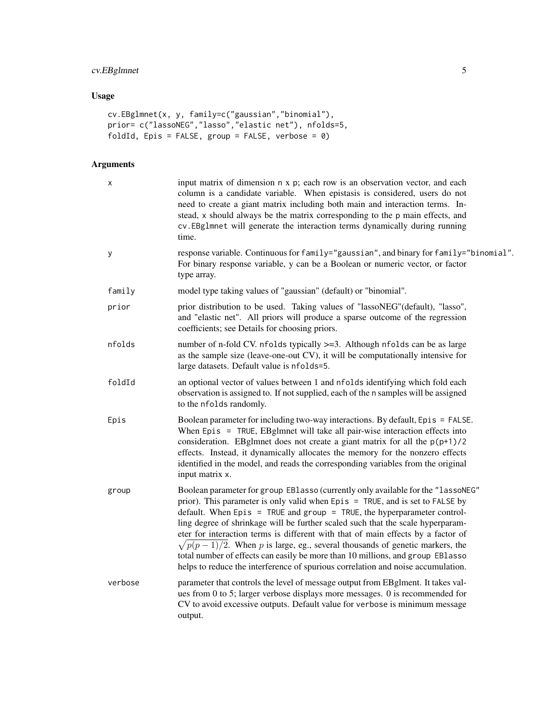# cv.EBglmnet 5

# Usage

```
cv.EBglmnet(x, y, family=c("gaussian","binomial"),
prior= c("lassoNEG","lasso","elastic net"), nfolds=5,
foldId, Epis = FALSE, group = FALSE, verbose = \theta)
```
# Arguments

| X       | input matrix of dimension n x p; each row is an observation vector, and each<br>column is a candidate variable. When epistasis is considered, users do not<br>need to create a giant matrix including both main and interaction terms. In-<br>stead, x should always be the matrix corresponding to the p main effects, and<br>cv.EBg1mnet will generate the interaction terms dynamically during running<br>time.                                                                                                                                                                                                                                                               |
|---------|----------------------------------------------------------------------------------------------------------------------------------------------------------------------------------------------------------------------------------------------------------------------------------------------------------------------------------------------------------------------------------------------------------------------------------------------------------------------------------------------------------------------------------------------------------------------------------------------------------------------------------------------------------------------------------|
| у       | response variable. Continuous for family="gaussian", and binary for family="binomial".<br>For binary response variable, y can be a Boolean or numeric vector, or factor<br>type array.                                                                                                                                                                                                                                                                                                                                                                                                                                                                                           |
| family  | model type taking values of "gaussian" (default) or "binomial".                                                                                                                                                                                                                                                                                                                                                                                                                                                                                                                                                                                                                  |
| prior   | prior distribution to be used. Taking values of "lassoNEG" (default), "lasso",<br>and "elastic net". All priors will produce a sparse outcome of the regression<br>coefficients; see Details for choosing priors.                                                                                                                                                                                                                                                                                                                                                                                                                                                                |
| nfolds  | number of n-fold CV. nfolds typically >=3. Although nfolds can be as large<br>as the sample size (leave-one-out CV), it will be computationally intensive for<br>large datasets. Default value is nfolds=5.                                                                                                                                                                                                                                                                                                                                                                                                                                                                      |
| foldId  | an optional vector of values between 1 and nfolds identifying which fold each<br>observation is assigned to. If not supplied, each of the n samples will be assigned<br>to the nfolds randomly.                                                                                                                                                                                                                                                                                                                                                                                                                                                                                  |
| Epis    | Boolean parameter for including two-way interactions. By default, Epis = FALSE.<br>When Epis = TRUE, EBglmnet will take all pair-wise interaction effects into<br>consideration. EBgImnet does not create a giant matrix for all the $p(p+1)/2$<br>effects. Instead, it dynamically allocates the memory for the nonzero effects<br>identified in the model, and reads the corresponding variables from the original<br>input matrix x.                                                                                                                                                                                                                                          |
| group   | Boolean parameter for group EBlasso (currently only available for the "lassoNEG"<br>prior). This parameter is only valid when Epis = TRUE, and is set to FALSE by<br>default. When Epis = TRUE and group = TRUE, the hyperparameter control-<br>ling degree of shrinkage will be further scaled such that the scale hyperparam-<br>eter for interaction terms is different with that of main effects by a factor of<br>$\sqrt{p(p-1)/2}$ . When p is large, eg., several thousands of genetic markers, the<br>total number of effects can easily be more than 10 millions, and group EBlasso<br>helps to reduce the interference of spurious correlation and noise accumulation. |
| verbose | parameter that controls the level of message output from EBglment. It takes val-<br>ues from 0 to 5; larger verbose displays more messages. 0 is recommended for<br>CV to avoid excessive outputs. Default value for verbose is minimum message<br>output.                                                                                                                                                                                                                                                                                                                                                                                                                       |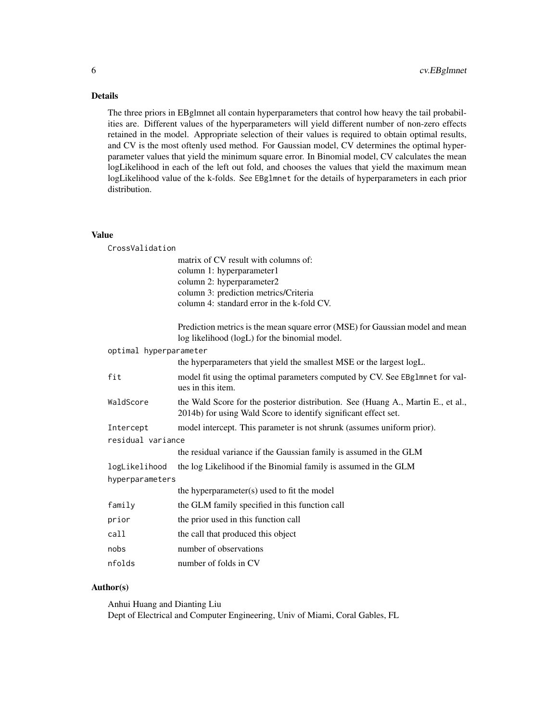#### Details

The three priors in EBglmnet all contain hyperparameters that control how heavy the tail probabilities are. Different values of the hyperparameters will yield different number of non-zero effects retained in the model. Appropriate selection of their values is required to obtain optimal results, and CV is the most oftenly used method. For Gaussian model, CV determines the optimal hyperparameter values that yield the minimum square error. In Binomial model, CV calculates the mean logLikelihood in each of the left out fold, and chooses the values that yield the maximum mean logLikelihood value of the k-folds. See EBg1mnet for the details of hyperparameters in each prior distribution.

#### Value

CrossValidation

| matrix of CV result with columns of:       |
|--------------------------------------------|
| column 1: hyperparameter1                  |
| column 2: hyperparameter2                  |
| column 3: prediction metrics/Criteria      |
| column 4: standard error in the k-fold CV. |

Prediction metrics is the mean square error (MSE) for Gaussian model and mean log likelihood (logL) for the binomial model.

| optimal hyperparameter |                                                                                                                                                     |
|------------------------|-----------------------------------------------------------------------------------------------------------------------------------------------------|
|                        | the hyperparameters that yield the smallest MSE or the largest logL.                                                                                |
| fit                    | model fit using the optimal parameters computed by CV. See EBg1mnet for val-<br>ues in this item.                                                   |
| WaldScore              | the Wald Score for the posterior distribution. See (Huang A., Martin E., et al.,<br>2014b) for using Wald Score to identify significant effect set. |
| Intercept              | model intercept. This parameter is not shrunk (assumes uniform prior).                                                                              |
| residual variance      |                                                                                                                                                     |
|                        | the residual variance if the Gaussian family is assumed in the GLM                                                                                  |
| logLikelihood          | the log Likelihood if the Binomial family is assumed in the GLM                                                                                     |
| hyperparameters        |                                                                                                                                                     |
|                        | the hyperparameter(s) used to fit the model                                                                                                         |
| family                 | the GLM family specified in this function call                                                                                                      |
| prior                  | the prior used in this function call                                                                                                                |
| call                   | the call that produced this object                                                                                                                  |
| nobs                   | number of observations                                                                                                                              |
| nfolds                 | number of folds in CV                                                                                                                               |

#### Author(s)

Anhui Huang and Dianting Liu Dept of Electrical and Computer Engineering, Univ of Miami, Coral Gables, FL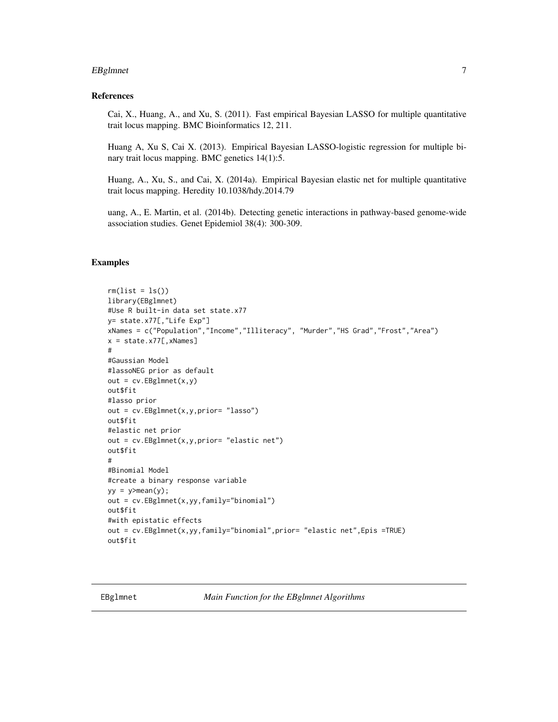#### <span id="page-6-0"></span>**EBgImnet** 7

#### References

Cai, X., Huang, A., and Xu, S. (2011). Fast empirical Bayesian LASSO for multiple quantitative trait locus mapping. BMC Bioinformatics 12, 211.

Huang A, Xu S, Cai X. (2013). Empirical Bayesian LASSO-logistic regression for multiple binary trait locus mapping. BMC genetics 14(1):5.

Huang, A., Xu, S., and Cai, X. (2014a). Empirical Bayesian elastic net for multiple quantitative trait locus mapping. Heredity 10.1038/hdy.2014.79

uang, A., E. Martin, et al. (2014b). Detecting genetic interactions in pathway-based genome-wide association studies. Genet Epidemiol 38(4): 300-309.

#### Examples

```
rm(list = ls())library(EBglmnet)
#Use R built-in data set state.x77
y= state.x77[,"Life Exp"]
xNames = c("Population","Income","Illiteracy", "Murder","HS Grad","Frost","Area")
x = state.x77[,xNames]
#
#Gaussian Model
#lassoNEG prior as default
out = cv.EBglmnet(x,y)out$fit
#lasso prior
out = cv.EBglmnet(x,y,prior= "lasso")
out$fit
#elastic net prior
out = cv.EBglmnet(x,y,prior= "elastic net")
out$fit
#
#Binomial Model
#create a binary response variable
yy = y \geq mean(y);
out = cv.EBglmnet(x,yy,family="binomial")
out$fit
#with epistatic effects
out = cv.EBglmnet(x,yy,family="binomial",prior= "elastic net",Epis =TRUE)
out$fit
```
EBglmnet *Main Function for the EBglmnet Algorithms*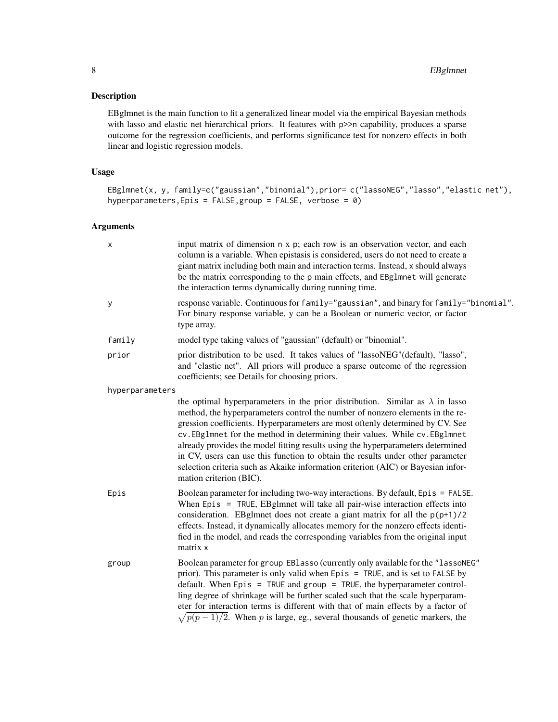#### Description

EBglmnet is the main function to fit a generalized linear model via the empirical Bayesian methods with lasso and elastic net hierarchical priors. It features with p>>n capability, produces a sparse outcome for the regression coefficients, and performs significance test for nonzero effects in both linear and logistic regression models.

#### Usage

EBglmnet(x, y, family=c("gaussian","binomial"),prior= c("lassoNEG","lasso","elastic net"), hyperparameters,Epis = FALSE,group = FALSE, verbose = 0)

#### Arguments

| X               | input matrix of dimension n x p; each row is an observation vector, and each<br>column is a variable. When epistasis is considered, users do not need to create a<br>giant matrix including both main and interaction terms. Instead, x should always<br>be the matrix corresponding to the p main effects, and EBg1mnet will generate<br>the interaction terms dynamically during running time.                                                                                                                                                                                                                          |
|-----------------|---------------------------------------------------------------------------------------------------------------------------------------------------------------------------------------------------------------------------------------------------------------------------------------------------------------------------------------------------------------------------------------------------------------------------------------------------------------------------------------------------------------------------------------------------------------------------------------------------------------------------|
| У               | response variable. Continuous for family="gaussian", and binary for family="binomial".<br>For binary response variable, y can be a Boolean or numeric vector, or factor<br>type array.                                                                                                                                                                                                                                                                                                                                                                                                                                    |
| family          | model type taking values of "gaussian" (default) or "binomial".                                                                                                                                                                                                                                                                                                                                                                                                                                                                                                                                                           |
| prior           | prior distribution to be used. It takes values of "lassoNEG"(default), "lasso",<br>and "elastic net". All priors will produce a sparse outcome of the regression<br>coefficients; see Details for choosing priors.                                                                                                                                                                                                                                                                                                                                                                                                        |
| hyperparameters |                                                                                                                                                                                                                                                                                                                                                                                                                                                                                                                                                                                                                           |
|                 | the optimal hyperparameters in the prior distribution. Similar as $\lambda$ in lasso<br>method, the hyperparameters control the number of nonzero elements in the re-<br>gression coefficients. Hyperparameters are most oftenly determined by CV. See<br>cv. EBg1mnet for the method in determining their values. While cv. EBg1mnet<br>already provides the model fitting results using the hyperparameters determined<br>in CV, users can use this function to obtain the results under other parameter<br>selection criteria such as Akaike information criterion (AIC) or Bayesian infor-<br>mation criterion (BIC). |
| Epis            | Boolean parameter for including two-way interactions. By default, Epis = FALSE.<br>When $Epis = TRUE$ , $EBglmnet$ will take all pair-wise interaction effects into<br>consideration. EBgImnet does not create a giant matrix for all the $p(p+1)/2$<br>effects. Instead, it dynamically allocates memory for the nonzero effects identi-<br>fied in the model, and reads the corresponding variables from the original input<br>matrix x                                                                                                                                                                                 |
| group           | Boolean parameter for group EBlasso (currently only available for the "lassoNEG"<br>prior). This parameter is only valid when Epis = TRUE, and is set to FALSE by<br>default. When Epis = TRUE and group = TRUE, the hyperparameter control-<br>ling degree of shrinkage will be further scaled such that the scale hyperparam-<br>eter for interaction terms is different with that of main effects by a factor of<br>$\sqrt{p(p-1)/2}$ . When p is large, eg., several thousands of genetic markers, the                                                                                                                |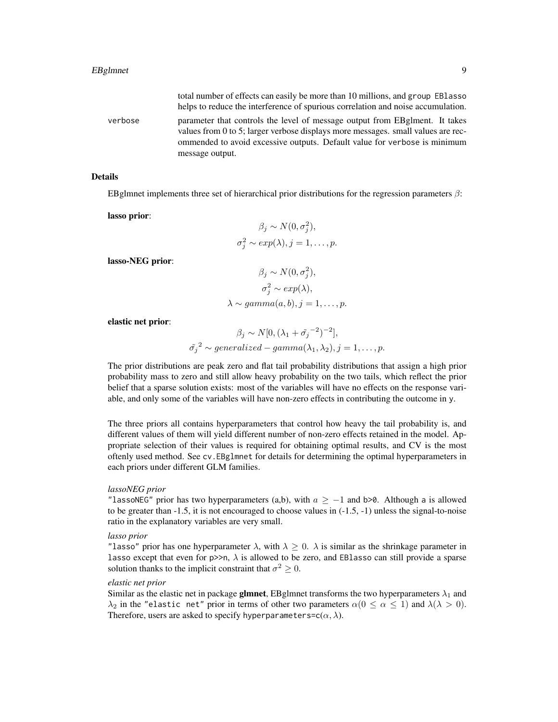total number of effects can easily be more than 10 millions, and group EBlasso helps to reduce the interference of spurious correlation and noise accumulation. verbose parameter that controls the level of message output from EBglment. It takes values from 0 to 5; larger verbose displays more messages. small values are recommended to avoid excessive outputs. Default value for verbose is minimum message output.

#### Details

EBglmnet implements three set of hierarchical prior distributions for the regression parameters  $\beta$ :

lasso prior:

$$
\beta_j \sim N(0, \sigma_j^2),
$$
  

$$
\sigma_j^2 \sim exp(\lambda), j = 1, ..., p.
$$

lasso-NEG prior:

$$
\beta_j \sim N(0, \sigma_j^2),
$$
  
\n
$$
\sigma_j^2 \sim exp(\lambda),
$$
  
\n
$$
\lambda \sim gamma(a, b), j = 1, ..., p.
$$

elastic net prior:

$$
\beta_j \sim N[0, (\lambda_1 + \tilde{\sigma_j}^{-2})^{-2}],
$$
  

$$
\tilde{\sigma_j}^2 \sim generalized-gamma(\lambda_1, \lambda_2), j = 1, ..., p.
$$

The prior distributions are peak zero and flat tail probability distributions that assign a high prior probability mass to zero and still allow heavy probability on the two tails, which reflect the prior belief that a sparse solution exists: most of the variables will have no effects on the response variable, and only some of the variables will have non-zero effects in contributing the outcome in y.

The three priors all contains hyperparameters that control how heavy the tail probability is, and different values of them will yield different number of non-zero effects retained in the model. Appropriate selection of their values is required for obtaining optimal results, and CV is the most oftenly used method. See cv.EBglmnet for details for determining the optimal hyperparameters in each priors under different GLM families.

#### *lassoNEG prior*

"lassoNEG" prior has two hyperparameters (a,b), with  $a \ge -1$  and b>0. Although a is allowed to be greater than  $-1.5$ , it is not encouraged to choose values in  $(-1.5, -1)$  unless the signal-to-noise ratio in the explanatory variables are very small.

#### *lasso prior*

"lasso" prior has one hyperparameter  $\lambda$ , with  $\lambda \geq 0$ .  $\lambda$  is similar as the shrinkage parameter in lasso except that even for  $p \gg n$ ,  $\lambda$  is allowed to be zero, and EBlasso can still provide a sparse solution thanks to the implicit constraint that  $\sigma^2 \geq 0$ .

#### *elastic net prior*

Similar as the elastic net in package **glmnet**, EBglmnet transforms the two hyperparameters  $\lambda_1$  and  $\lambda_2$  in the "elastic net" prior in terms of other two parameters  $\alpha(0 \le \alpha \le 1)$  and  $\lambda(\lambda > 0)$ . Therefore, users are asked to specify hyperparameters= $c(\alpha, \lambda)$ .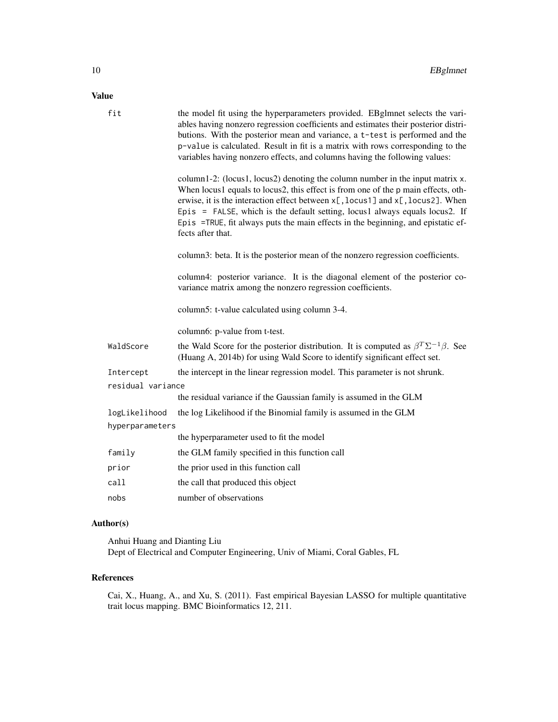### Value

| fit               | the model fit using the hyperparameters provided. EBgImnet selects the vari-<br>ables having nonzero regression coefficients and estimates their posterior distri-<br>butions. With the posterior mean and variance, a t-test is performed and the<br>p-value is calculated. Result in fit is a matrix with rows corresponding to the<br>variables having nonzero effects, and columns having the following values:                          |  |
|-------------------|----------------------------------------------------------------------------------------------------------------------------------------------------------------------------------------------------------------------------------------------------------------------------------------------------------------------------------------------------------------------------------------------------------------------------------------------|--|
|                   | column1-2: (locus1, locus2) denoting the column number in the input matrix x.<br>When locus1 equals to locus2, this effect is from one of the p main effects, oth-<br>erwise, it is the interaction effect between x[, locus1] and x[, locus2]. When<br>Epis = FALSE, which is the default setting, locus1 always equals locus2. If<br>Epis =TRUE, fit always puts the main effects in the beginning, and epistatic ef-<br>fects after that. |  |
|                   | column3: beta. It is the posterior mean of the nonzero regression coefficients.                                                                                                                                                                                                                                                                                                                                                              |  |
|                   | column4: posterior variance. It is the diagonal element of the posterior co-<br>variance matrix among the nonzero regression coefficients.                                                                                                                                                                                                                                                                                                   |  |
|                   | column5: t-value calculated using column 3-4.                                                                                                                                                                                                                                                                                                                                                                                                |  |
|                   | column6: p-value from t-test.                                                                                                                                                                                                                                                                                                                                                                                                                |  |
| WaldScore         | the Wald Score for the posterior distribution. It is computed as $\beta^T \Sigma^{-1} \beta$ . See<br>(Huang A, 2014b) for using Wald Score to identify significant effect set.                                                                                                                                                                                                                                                              |  |
| Intercept         | the intercept in the linear regression model. This parameter is not shrunk.                                                                                                                                                                                                                                                                                                                                                                  |  |
| residual variance |                                                                                                                                                                                                                                                                                                                                                                                                                                              |  |
|                   | the residual variance if the Gaussian family is assumed in the GLM                                                                                                                                                                                                                                                                                                                                                                           |  |
| logLikelihood     | the log Likelihood if the Binomial family is assumed in the GLM                                                                                                                                                                                                                                                                                                                                                                              |  |
| hyperparameters   |                                                                                                                                                                                                                                                                                                                                                                                                                                              |  |
|                   | the hyperparameter used to fit the model                                                                                                                                                                                                                                                                                                                                                                                                     |  |
| family            | the GLM family specified in this function call                                                                                                                                                                                                                                                                                                                                                                                               |  |
| prior             | the prior used in this function call                                                                                                                                                                                                                                                                                                                                                                                                         |  |
| call              | the call that produced this object                                                                                                                                                                                                                                                                                                                                                                                                           |  |
| nobs              | number of observations                                                                                                                                                                                                                                                                                                                                                                                                                       |  |

# Author(s)

Anhui Huang and Dianting Liu Dept of Electrical and Computer Engineering, Univ of Miami, Coral Gables, FL

# References

Cai, X., Huang, A., and Xu, S. (2011). Fast empirical Bayesian LASSO for multiple quantitative trait locus mapping. BMC Bioinformatics 12, 211.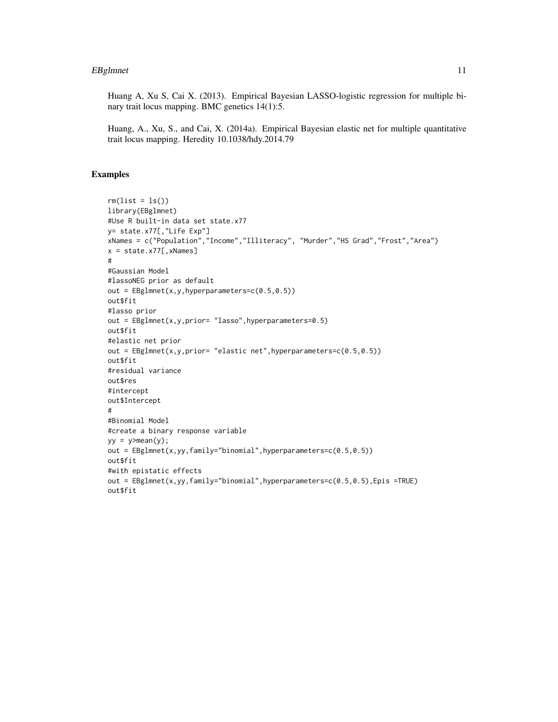#### EBgImnet 11

Huang A, Xu S, Cai X. (2013). Empirical Bayesian LASSO-logistic regression for multiple binary trait locus mapping. BMC genetics 14(1):5.

Huang, A., Xu, S., and Cai, X. (2014a). Empirical Bayesian elastic net for multiple quantitative trait locus mapping. Heredity 10.1038/hdy.2014.79

#### Examples

```
rm(list = ls())library(EBglmnet)
#Use R built-in data set state.x77
y= state.x77[,"Life Exp"]
xNames = c("Population","Income","Illiteracy", "Murder","HS Grad","Frost","Area")
x = state.x77[,xNames]
#
#Gaussian Model
#lassoNEG prior as default
out = EBglmnet(x, y, hyperparameters=c(0.5, 0.5))out$fit
#lasso prior
out = EBglmnet(x,y,prior= "lasso",hyperparameters=0.5)
out$fit
#elastic net prior
out = EBglmnet(x,y,prior= "elastic net",hyperparameters=c(0.5,0.5))
out$fit
#residual variance
out$res
#intercept
out$Intercept
#
#Binomial Model
#create a binary response variable
yy = y \geq mean(y);
out = EBglmnet(x,yy,family="binomial",hyperparameters=c(0.5,0.5))
out$fit
#with epistatic effects
out = EBglmnet(x,yy,family="binomial",hyperparameters=c(0.5,0.5),Epis =TRUE)
out$fit
```